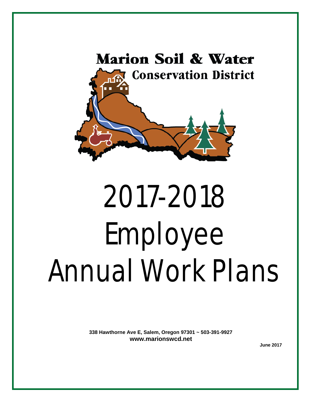

# 2017-2018 Employee Annual Work Plans

**338 Hawthorne Ave E, Salem, Oregon 97301 ~ 503-391-9927 [www.marionswcd.net](http://www.marionswcd.net/)**<br>June 2017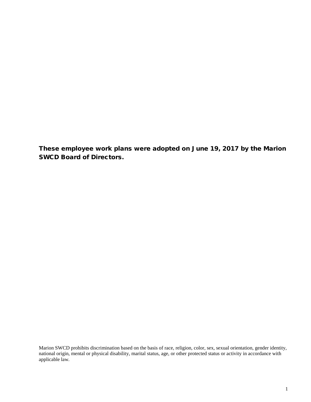These employee work plans were adopted on June 19, 2017 by the Marion SWCD Board of Directors.

Marion SWCD prohibits discrimination based on the basis of race, religion, color, sex, sexual orientation, gender identity, national origin, mental or physical disability, marital status, age, or other protected status or activity in accordance with applicable law.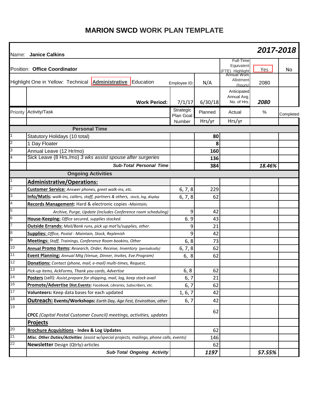# **MARION SWCD WORK PLAN TEMPLATE**

|                         | Name: Janice Calkins                                                                     |                        |           |                                                           | 2017-2018 |           |
|-------------------------|------------------------------------------------------------------------------------------|------------------------|-----------|-----------------------------------------------------------|-----------|-----------|
|                         | Position: Office Coordinator                                                             |                        |           | Full-Time<br>Equivalent<br>(FTE) Highlight<br>Annual Work | Yes       | No.       |
|                         | Highlight One in Yellow: Technical <b>Administrative</b> Education                       | Employee ID:           | N/A       | Allotment<br>(hours)                                      | 2080      |           |
|                         | <b>Work Period:</b>                                                                      | 7/1/17                 | 6/30/18   | Anticipated<br>Annual Avg.<br>No. of Hrs.                 | 2080      |           |
| Priority                | Activity/Task                                                                            | Strategic<br>Plan Goal | Planned   | Actual                                                    | %         | Completed |
|                         |                                                                                          | Number                 | Hrs/yr    | Hrs/yr                                                    |           |           |
|                         | <b>Personal Time</b>                                                                     |                        |           |                                                           |           |           |
| 1                       | Statutory Holidays (10 total)                                                            |                        | 80        |                                                           |           |           |
| $\overline{c}$          | 1 Day Floater                                                                            |                        | 8         |                                                           |           |           |
| 3                       | Annual Leave (12 Hr/mo)                                                                  |                        | 160       |                                                           |           |           |
| 4                       | Sick Leave (8 Hrs./mo) 3 wks assist spouse after surgeries                               |                        | 136       |                                                           |           |           |
|                         | <b>Sub-Total Personal Time</b>                                                           |                        | 384       |                                                           | 18.46%    |           |
|                         | <b>Ongoing Activities</b>                                                                |                        |           |                                                           |           |           |
|                         | <b>Administrative/Operations:</b>                                                        |                        |           |                                                           |           |           |
| $\overline{\mathbf{c}}$ | Customer Service: Answer phones, greet walk-ins, etc.                                    | 6, 7, 8                | 229       |                                                           |           |           |
| 3                       | Info/Matls: walk-ins, callers, staff, partners & others, stock, log, display             | 6, 7, 8                | 62        |                                                           |           |           |
| 4                       | Records Management: Hard & electronic copies -Maintain,                                  |                        |           |                                                           |           |           |
| 5                       | Archive, Purge, Update (includes Conference room scheduling)                             | 9                      | 42        |                                                           |           |           |
| 6                       | House-Keeping: Office secured, supplies stocked.                                         | 6.9                    | 43        |                                                           |           |           |
| $\overline{7}$          | <b>Outside Errands:</b> Mail/Bank runs, pick up mat'ls/supplies, other.                  | 9                      | 21        |                                                           |           |           |
| 8                       | <b>Supplies: Office, Postal - Maintain, Stock, Replenish</b>                             | 9                      | 42        |                                                           |           |           |
| 9                       | <b>Meetings:</b> Staff, Trainings, Conference Room bookins, Other                        | 6, 8                   | 73        |                                                           |           |           |
| 10                      | Annual Promo Items: Research, Order, Receive, Inventory (periodically)                   | 6, 7, 8                | 62        |                                                           |           |           |
| 11                      | Event Planning: Annual Mtg (Venue, Dinner, Invites, Eve.Program)                         | 6, 8                   | 62        |                                                           |           |           |
| 12                      | Donations: Contact (phone, mail, e-mail) multi-times, Request,                           |                        |           |                                                           |           |           |
| 13                      | Pick-up items, AckForms, Thank you cards, Advertise                                      | 6, 8                   | 62        |                                                           |           |           |
| $\overline{14}$         | Posters (sell): Assist, prepare for shipping, mail, log, keep stock avail                | 6, 7                   | 21        |                                                           |           |           |
| 16                      | Promote/Advertise Dist.Events: Facebook, Libraries, Subscribers, etc.                    | 6, 7                   | 62        |                                                           |           |           |
| 17                      | Volunteers: Keep data bases for each updated                                             | 1, 6, 7                | 42        |                                                           |           |           |
| 18                      | <b>Outreach: Events/Workshops:</b> Earth Day, Age Fest, Envirothon, other                | 6, 7                   | 42        |                                                           |           |           |
| 19                      | CPCC (Capital Postal Customer Council) meetings, activities, updates                     |                        | 62        |                                                           |           |           |
|                         |                                                                                          |                        |           |                                                           |           |           |
| 20                      | <b>Projects</b><br><b>Brochure Acquisitions - Index &amp; Log Updates</b>                |                        |           |                                                           |           |           |
| $\overline{21}$         | Misc. Other Duties/Activities (assist w/special projects, mailings, phone calls, events) |                        | 62<br>146 |                                                           |           |           |
| 22                      | <b>Newsletter</b> Design (Qtrly)-articles                                                |                        | 62        |                                                           |           |           |
|                         | <b>Sub-Total Ongoing Activity</b>                                                        |                        | 1197      |                                                           | 57.55%    |           |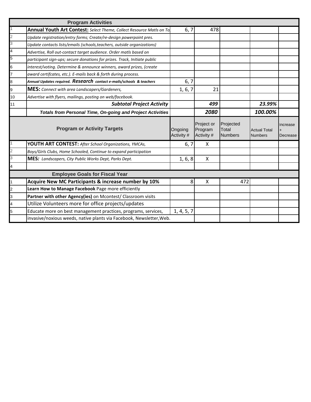|                          | <b>Program Activities</b>                                                 |                       |                                     |                                      |                                       |                             |
|--------------------------|---------------------------------------------------------------------------|-----------------------|-------------------------------------|--------------------------------------|---------------------------------------|-----------------------------|
|                          | Annual Youth Art Contest: Select Theme, Collect Resource Matls on To      | 6, 7                  | 478                                 |                                      |                                       |                             |
| $\overline{2}$           | Update registration/entry forms; Create/re-design powerpoint pres.        |                       |                                     |                                      |                                       |                             |
| 3                        | Update contacts lists/emails (schools,teachers, outside organizations)    |                       |                                     |                                      |                                       |                             |
| $\overline{\mathcal{A}}$ | Advertise, Roll out-contact target audience. Order matls based on         |                       |                                     |                                      |                                       |                             |
| 5                        | participant sign-ups; secure donations for prizes. Track, Initiate public |                       |                                     |                                      |                                       |                             |
| 6                        | interest/voting. Determine & announce winners, award prizes, (create      |                       |                                     |                                      |                                       |                             |
| 17                       | award certifcates, etc.). E-mails back & forth during process.            |                       |                                     |                                      |                                       |                             |
| 8                        | Annual Updates required. Research contact e-mails/schools & teachers      | 6, 7                  |                                     |                                      |                                       |                             |
| 9                        | MES: Connect with area Landscapers/Gardeners,                             | 1, 6, 7               | 21                                  |                                      |                                       |                             |
| 10                       | Advertise with flyers, mailings, posting on web/facebook.                 |                       |                                     |                                      |                                       |                             |
| 11                       | <b>Subtotal Project Activity</b>                                          |                       | 499                                 |                                      | 23.99%                                |                             |
|                          | <b>Totals from Personal Time, On-going and Project Activities</b>         |                       | 2080                                |                                      | 100.00%                               |                             |
|                          | <b>Program or Activity Targets</b>                                        | Ongoing<br>Activity # | Project or<br>Program<br>Activity # | Projected<br>Total<br><b>Numbers</b> | <b>Actual Total</b><br><b>Numbers</b> | <b>Increase</b><br>Decrease |
|                          | <b>YOUTH ART CONTEST: After School Organizations, YMCAs,</b>              | 6, 7                  | X                                   |                                      |                                       |                             |
| $\overline{c}$           | Boys/Girls Clubs, Home Schooled, Continue to expand participation         |                       |                                     |                                      |                                       |                             |
| 3                        | MES: Landscapers, City Public Works Dept, Parks Dept.                     | 1, 6, 8               | X                                   |                                      |                                       |                             |
| $\overline{a}$           |                                                                           |                       |                                     |                                      |                                       |                             |
|                          | <b>Employee Goals for Fiscal Year</b>                                     |                       |                                     |                                      |                                       |                             |
| $\overline{1}$           | Acquire New MC Participants & increase number by 10%                      | 8                     | X                                   | 472                                  |                                       |                             |
|                          |                                                                           |                       |                                     |                                      |                                       |                             |
| $\overline{2}$           | Learn How to Manage Facebook Page more efficiently                        |                       |                                     |                                      |                                       |                             |
| 3                        | Partner with other Agency(ies) on Mcontest/ Classroom visits              |                       |                                     |                                      |                                       |                             |
| $\overline{4}$           | Utilize Volunteers more for office projects/updates                       |                       |                                     |                                      |                                       |                             |
| 5                        | Educate more on best management practices, programs, services,            | 1, 4, 5, 7            |                                     |                                      |                                       |                             |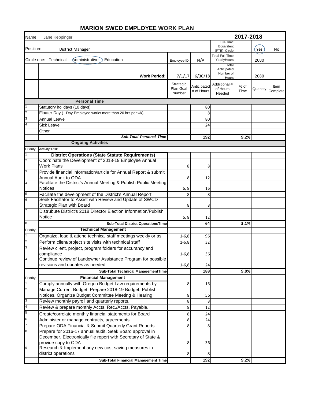| Name:          | Jane Keppinger                                                                                                        |                                  |                           |                                            | 2017-2018    |          |                  |
|----------------|-----------------------------------------------------------------------------------------------------------------------|----------------------------------|---------------------------|--------------------------------------------|--------------|----------|------------------|
| Position:      | District Manager                                                                                                      |                                  |                           | Full-Time<br>Equivalent<br>(FTE) Circle    |              | Yes      | No               |
|                | Circle one: Technical<br>Administrative<br>Education                                                                  | Employee ID:                     | N/A                       | <b>Total Full Time</b><br>YearlyHours      |              | 2080     |                  |
|                | <b>Work Period:</b>                                                                                                   | 7/1/17                           | 6/30/18                   | Total<br>Anticipated<br>Number of<br>Hours |              | 2080     |                  |
|                |                                                                                                                       | Strategic<br>Plan Goal<br>Number | Anticipated<br># of Hours | Addiitional #<br>of Hours<br>Needed        | % of<br>Time | Quantity | Item<br>Complete |
|                | <b>Personal Time</b>                                                                                                  |                                  |                           |                                            |              |          |                  |
|                | Statutory holidays (10 days)                                                                                          |                                  | 80                        |                                            |              |          |                  |
| 2              | Floater Day (1 Day-Employee works more than 20 hrs per wk)                                                            |                                  | 8                         |                                            |              |          |                  |
|                | Annual Leave                                                                                                          |                                  | 80                        |                                            |              |          |                  |
|                | <b>Sick Leave</b>                                                                                                     |                                  | 24                        |                                            |              |          |                  |
|                | Other                                                                                                                 |                                  |                           |                                            |              |          |                  |
|                | <b>Sub-Total Personal Time</b>                                                                                        |                                  | 192                       |                                            | 9.2%         |          |                  |
|                | <b>Ongoing Activities</b>                                                                                             |                                  |                           |                                            |              |          |                  |
| Priority       | Activity/Task                                                                                                         |                                  |                           |                                            |              |          |                  |
|                | <b>District Operations (State Statute Requirements)</b>                                                               |                                  |                           |                                            |              |          |                  |
| 2              | Coordinate the Development of 2018-19 Employee Annual                                                                 |                                  |                           |                                            |              |          |                  |
|                | <b>Work Plans</b>                                                                                                     | 8                                | 8                         |                                            |              |          |                  |
| 3              | Provide financial information/article for Annual Report & submit                                                      |                                  |                           |                                            |              |          |                  |
|                | Annual Audit to ODA                                                                                                   | 8                                | 12                        |                                            |              |          |                  |
| $\overline{4}$ | Facilitate the District's Annual Meeting & Publish Public Meeting                                                     |                                  |                           |                                            |              |          |                  |
|                | <b>Notices</b>                                                                                                        | 6, 8                             | 16                        |                                            |              |          |                  |
| 5<br>6         | Faciliate the development of the District's Annual Report<br>Seek Faciltator to Assist with Review and Update of SWCD | 8                                | 8                         |                                            |              |          |                  |
|                | Strategic Plan with Board                                                                                             | 8                                | 8                         |                                            |              |          |                  |
|                | Distrubute District's 2018 Director Election Information/Publish<br><b>Notice</b>                                     | 6, 8                             | 12                        |                                            |              |          |                  |
| 8              | <b>Sub-Total District OperationsTime</b>                                                                              |                                  | 64                        |                                            | 3.1%         |          |                  |
| Priority       | <b>Technical Management</b>                                                                                           |                                  |                           |                                            |              |          |                  |
|                | Orgnaize, lead & attend technical staff meetings weekly or as                                                         | $1 - 6, 8$                       | 96                        |                                            |              |          |                  |
|                | Perform client/project site visits with technical staff                                                               | $1 - 6, 8$                       | 32                        |                                            |              |          |                  |
|                | Review client, project, program folders for accurancy and                                                             |                                  |                           |                                            |              |          |                  |
|                | compliance                                                                                                            | $1 - 6, 8$                       | 36                        |                                            |              |          |                  |
|                | Continue review of Landowner Assistance Program for possible                                                          |                                  |                           |                                            |              |          |                  |
|                | revisions and updates as needed                                                                                       | $1 - 6, 8$                       | 24                        |                                            |              |          |                  |
|                | <b>Sub-Total Technical ManagementTime</b>                                                                             |                                  | 188                       |                                            | 9.0%         |          |                  |
| Priority       | <b>Financial Management</b>                                                                                           |                                  |                           |                                            |              |          |                  |
|                | Comply annually with Oregon Budget Law requirements by                                                                | 8                                | 16                        |                                            |              |          |                  |
| $\overline{2}$ | Manage Current Budget, Prepare 2018-19 Budget, Publish                                                                |                                  |                           |                                            |              |          |                  |
|                | Notices, Organize Budget Committee Meeting & Hearing                                                                  | 8                                | 56                        |                                            |              |          |                  |
| 3              | Review monthly payroll and quarterly reports.                                                                         | 8                                | 8                         |                                            |              |          |                  |
| 4              | Review & prepare monthly Accts. Rec./Accts. Payable.                                                                  | 8                                | 12                        |                                            |              |          |                  |
| 5              | Create/correlate monthly financial statements for Board                                                               | 8                                | 24                        |                                            |              |          |                  |
| 6              | Administer or manage contracts, agreements                                                                            | 8                                | 24                        |                                            |              |          |                  |
|                | Prepare ODA Financial & Submit Quarterly Grant Reports                                                                | 8                                | 8                         |                                            |              |          |                  |
| 8              | Prepare for 2016-17 annual audit. Seek Board approval in                                                              |                                  |                           |                                            |              |          |                  |
|                | December. Electronically file report with Secretary of State &                                                        |                                  |                           |                                            |              |          |                  |
|                | provide copy to ODA                                                                                                   | 8                                | 36                        |                                            |              |          |                  |
|                | Research & Implement any new cost saving measures in                                                                  |                                  |                           |                                            |              |          |                  |
|                | district operations                                                                                                   | 8                                | 8                         |                                            |              |          |                  |
|                | Sub-Total Financial Management Time                                                                                   |                                  | 192                       |                                            | 9.2%         |          |                  |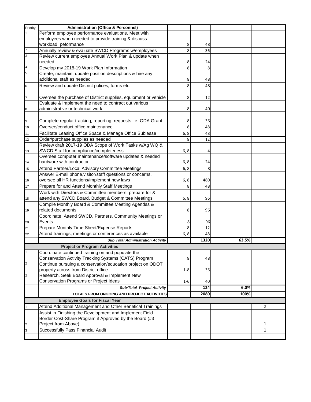| Priority       | <b>Administration (Office &amp; Personnel)</b>                  |         |      |       |              |  |
|----------------|-----------------------------------------------------------------|---------|------|-------|--------------|--|
|                | Perform employee performance evaluations. Meet with             |         |      |       |              |  |
|                |                                                                 |         |      |       |              |  |
|                | employees when needed to provide training & discuss             |         |      |       |              |  |
|                | workload, peformance                                            | 8       | 48   |       |              |  |
|                | Annually review & evaluate SWCD Programs w/employees            | 8       | 36   |       |              |  |
| 3              | Review current employee Annual Work Plan & update when          |         |      |       |              |  |
|                | needed                                                          | 8       | 24   |       |              |  |
|                | Develop my 2018-19 Work Plan Information                        | 8       | 8    |       |              |  |
| 5              | Create, maintain, update position descriptions & hire any       |         |      |       |              |  |
|                | additional staff as needed                                      | 8       | 48   |       |              |  |
| 6              | Review and update District polices, forms etc.                  | 8       | 48   |       |              |  |
|                |                                                                 |         |      |       |              |  |
|                | Oversee the purchase of District supplies, equipment or vehicle | 8       | 12   |       |              |  |
|                | Evaluate & Implement the need to contract out various           |         |      |       |              |  |
| 8              | administrative or technical work                                | 8       | 40   |       |              |  |
|                |                                                                 |         |      |       |              |  |
| 9              | Complete regular tracking, reporting, requests i.e. ODA Grant   | 8       | 36   |       |              |  |
| 10             | Oversee/conduct office maintenance                              | 8       | 48   |       |              |  |
|                | Facilitate Leasing Office Space & Manage Office Sublease        |         | 48   |       |              |  |
| 11             | Order/purchase supplies as needed                               | 6, 8    |      |       |              |  |
| 12             |                                                                 | 8       | 12   |       |              |  |
|                | Review draft 2017-19 ODA Scope of Work Tasks w/Ag WQ &          |         |      |       |              |  |
| 13             | SWCD Staff for compliance/completeness                          | 6, 8    | 4    |       |              |  |
|                | Oversee computer maintenance/software updates & needed          |         |      |       |              |  |
| 14             | hardware with contractor                                        | 6, 8    | 24   |       |              |  |
| 15             | Attend Partner/Local Advisory Committee Meetings                | 6, 8    | 8    |       |              |  |
|                | Answer E-mail, phone, visitor/staff questions or concerns,      |         |      |       |              |  |
| 16             | oversee all HR functions/implement new laws                     | 6, 8    | 480  |       |              |  |
| 17             | Prepare for and Attend Monthly Staff Meetings                   | 8       | 48   |       |              |  |
|                | Work with Directors & Committee members, prepare for &          |         |      |       |              |  |
| 18             | attend any SWCD Board, Budget & Committee Meetings              | 6, 8    | 96   |       |              |  |
|                | Compile Monthly Board & Committee Meeting Agendas &             |         |      |       |              |  |
| 19             | related documents                                               | 8       | 96   |       |              |  |
|                | Coordinate, Attend SWCD, Partners, Community Meetings or        |         |      |       |              |  |
| 20             | Events                                                          | 8       | 96   |       |              |  |
| 21             | Prepare Monthly Time Sheet/Expense Reports                      | 8       | 12   |       |              |  |
|                | Attend trainings, meetings or conferences as available          |         | 48   |       |              |  |
| 22             |                                                                 | 6, 8    |      |       |              |  |
|                | <b>Sub-Total Administration Activity</b>                        |         | 1320 | 63.5% |              |  |
|                | <b>Project or Program Activities</b>                            |         |      |       |              |  |
|                | Coordinate continued training on and populate the               |         |      |       |              |  |
|                | Conservation Activity Tracking Systems (CATS) Program           | 8       | 48   |       |              |  |
| $\overline{2}$ | Continue pursuing a conservation/education project on ODOT      |         |      |       |              |  |
|                | property across from District office                            | $1 - 8$ | 36   |       |              |  |
|                | Research, Seek Board Approval & Implement New                   |         |      |       |              |  |
|                | Conservation Programs or Project Ideas                          | 1-6     | 40   |       |              |  |
|                | <b>Sub-Total Project Activity</b>                               |         | 124  | 6.0%  |              |  |
|                | TOTALS FROM ONGOING AND PROJECT ACTIVITIES                      |         | 2080 | 100%  |              |  |
|                | <b>Employee Goals for Fiscal Year</b>                           |         |      |       |              |  |
|                | Attend Additional Management and Other Benefical Trainings      |         |      |       | 2            |  |
|                | Assist in Finishing the Development and Implement Field         |         |      |       |              |  |
|                | Border Cost-Share Program if Approved by the Board (#3          |         |      |       |              |  |
|                |                                                                 |         |      |       |              |  |
|                | Project from Above)                                             |         |      |       | 1            |  |
|                | Successfully Pass Financial Audit                               |         |      |       | $\mathbf{1}$ |  |
|                |                                                                 |         |      |       |              |  |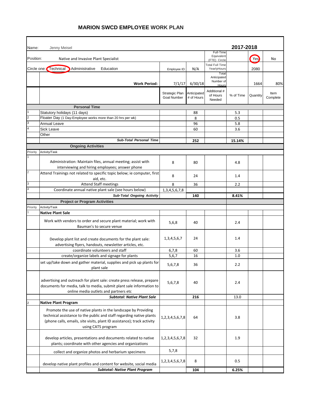| Name:          | Jenny Meisel                                                                                                                                                                                                                            |                                      |                           |                                         | 2017-2018 |          |                  |
|----------------|-----------------------------------------------------------------------------------------------------------------------------------------------------------------------------------------------------------------------------------------|--------------------------------------|---------------------------|-----------------------------------------|-----------|----------|------------------|
| Position:      | Native and Invasive Plant Specialist                                                                                                                                                                                                    |                                      |                           | Full-Time<br>Equivalent<br>(FTE) Circle |           | Yes      | No               |
|                |                                                                                                                                                                                                                                         |                                      |                           | <b>Total Full Time</b>                  |           |          |                  |
|                | Circle one: Technical<br>Administrative<br>Education                                                                                                                                                                                    | Employee ID:                         | N/A                       | YearlyHours<br>Total                    |           | 2080     |                  |
|                | <b>Work Period:</b>                                                                                                                                                                                                                     | 7/1/17                               | 6/30/18                   | Anticipated<br>Number of<br>Hours       |           | 1664     | 80%              |
|                |                                                                                                                                                                                                                                         | Strategic Plan<br><b>Goal Number</b> | Anticipated<br># of Hours | Additional #<br>of Hours<br>Needed      | % of Time | Quantity | Item<br>Complete |
|                | <b>Personal Time</b>                                                                                                                                                                                                                    |                                      |                           |                                         |           |          |                  |
|                | Statutory holidays (11 days)                                                                                                                                                                                                            |                                      | 88                        |                                         | 5.3       |          |                  |
|                | Floater Day (1 Day-Employee works more than 20 hrs per wk)                                                                                                                                                                              |                                      | 8                         |                                         | 0.5       |          |                  |
|                | Annual Leave                                                                                                                                                                                                                            |                                      | 96                        |                                         | 5.8       |          |                  |
|                | <b>Sick Leave</b>                                                                                                                                                                                                                       |                                      | 60                        |                                         | 3.6       |          |                  |
|                | Other                                                                                                                                                                                                                                   |                                      |                           |                                         |           |          |                  |
|                | <b>Sub-Total Personal Time</b>                                                                                                                                                                                                          |                                      | 252                       |                                         | 15.14%    |          |                  |
|                | <b>Ongoing Activities</b>                                                                                                                                                                                                               |                                      |                           |                                         |           |          |                  |
| Priority       | Activity/Task                                                                                                                                                                                                                           |                                      |                           |                                         |           |          |                  |
|                | Administration: Maintain files, annual meeting; assist with<br>interviewing and hiring employees; answer phone                                                                                                                          | 8                                    | 80                        |                                         | 4.8       |          |                  |
| $\overline{c}$ | Attend Trainings not related to specific topic below; ie computer, first<br>aid, etc.                                                                                                                                                   | 8                                    | 24                        |                                         | 1.4       |          |                  |
| 3              | <b>Attend Staff meetings</b>                                                                                                                                                                                                            | 8                                    | 36                        |                                         | 2.2       |          |                  |
|                | Coordinate annual native plant sale (see hours below)                                                                                                                                                                                   | 1, 3, 4, 5, 6, 7, 8                  |                           |                                         |           |          |                  |
|                | <b>Sub-Total Ongoing Activity</b>                                                                                                                                                                                                       |                                      | 140                       |                                         | 8.41%     |          |                  |
|                | <b>Project or Program Activities</b>                                                                                                                                                                                                    |                                      |                           |                                         |           |          |                  |
| Priority       | Activity/Task                                                                                                                                                                                                                           |                                      |                           |                                         |           |          |                  |
|                | <b>Native Plant Sale</b>                                                                                                                                                                                                                |                                      |                           |                                         |           |          |                  |
|                | Work with vendors to order and secure plant material; work with<br>Bauman's to secure venue                                                                                                                                             | 5,6,8                                | 40                        |                                         | 2.4       |          |                  |
|                | Develop plant list and create documents for the plant sale:<br>advertising flyers, handouts, newsletter articles, etc.                                                                                                                  | 1, 3, 4, 5, 6, 7                     | 24                        |                                         | 1.4       |          |                  |
|                | coordinate volunteers and staff                                                                                                                                                                                                         | 6,7,8                                | 60                        |                                         | 3.6       |          |                  |
|                | create/organize labels and signage for plants                                                                                                                                                                                           | 5,6,7                                | 16                        |                                         | 1.0       |          |                  |
|                | set up/take down and gather material, supplies and pick up plants for<br>plant sale                                                                                                                                                     | 5,6,7,8                              | 36                        |                                         | 2.2       |          |                  |
|                | advertising and outreach for plant sale: create press release, prepare<br>documents for media, talk to media, submit plant sale information to<br>online media outlets and partners etc                                                 | 5,6,7,8                              | 40                        |                                         | 2.4       |          |                  |
|                | <b>Subtotal: Native Plant Sale</b>                                                                                                                                                                                                      |                                      | 216                       |                                         | 13.0      |          |                  |
|                | <b>Native Plant Program</b>                                                                                                                                                                                                             |                                      |                           |                                         |           |          |                  |
|                | Promote the use of native plants in the landscape by Providing<br>technical assistance to the public and staff regarding native plants<br>(phone calls, emails, site visits, plant ID assistance); track activity<br>using CATS program | 1,2,3,4,5,6,7,8                      | 64                        |                                         | 3.8       |          |                  |
|                | develop articles, presentations and documents related to native<br>plants; coordinate with other agencies and organizations                                                                                                             | 1,2,3,4,5,6,7,8                      | 32                        |                                         | 1.9       |          |                  |
|                | collect and organize photos and herbarium specimens                                                                                                                                                                                     | 5,7,8                                |                           |                                         |           |          |                  |
|                | develop native plant profiles and content for website, social media                                                                                                                                                                     | 1,2,3,4,5,6,7,8                      | 8                         |                                         | 0.5       |          |                  |
|                | <b>Subtotal: Native Plant Program</b>                                                                                                                                                                                                   |                                      | 104                       |                                         | 6.25%     |          |                  |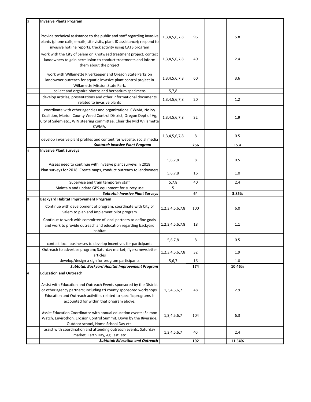| <b>Invasive Plants Program</b>                                                                                                                                                                                                                              |                     |     |        |  |
|-------------------------------------------------------------------------------------------------------------------------------------------------------------------------------------------------------------------------------------------------------------|---------------------|-----|--------|--|
| Provide technical assistance to the public and staff regarding invasive<br>plants (phone calls, emails, site visits, plant ID assistance); respond to<br>invasive hotline reports; track activity using CATS program                                        | 1, 3, 4, 5, 6, 7, 8 | 96  | 5.8    |  |
| work with the City of Salem on Knotweed treatment project; contact<br>landowners to gain permission to conduct treatments and inform<br>them about the project                                                                                              | 1, 3, 4, 5, 6, 7, 8 | 40  | 2.4    |  |
| work with Willamette Riverkeeper and Oregon State Parks on<br>landowner outreach for aquatic invasive plant control project in<br>Willamette Mission State Park.                                                                                            | 1, 3, 4, 5, 6, 7, 8 | 60  | 3.6    |  |
| collect and organize photos and herbarium specimens                                                                                                                                                                                                         | 5,7,8               |     |        |  |
| develop articles, presentations and other informational documents<br>related to invasive plants                                                                                                                                                             | 1, 3, 4, 5, 6, 7, 8 | 20  | 1.2    |  |
| coordinate with other agencies and organizations: CWMA, No Ivy<br>Coalition, Marion County Weed Control District, Oregon Dept of Ag,<br>City of Salem etc., WIN steering committee, Chair the Mid Willamette<br>CWMA.                                       | 1, 3, 4, 5, 6, 7, 8 | 32  | 1.9    |  |
| develop invasive plant profiles and content for website; social media                                                                                                                                                                                       | 1,3,4,5,6,7,8       | 8   | 0.5    |  |
| <b>Subtotal: Invasive Plant Program</b>                                                                                                                                                                                                                     |                     | 256 | 15.4   |  |
| <b>Invasive Plant Surveys</b>                                                                                                                                                                                                                               |                     |     |        |  |
| Assess need to continue with invasive plant surveys in 2018                                                                                                                                                                                                 | 5,6,7,8             | 8   | 0.5    |  |
| Plan surveys for 2018: Create maps, conduct outreach to landowners                                                                                                                                                                                          | 5,6,7,8             | 16  | 1.0    |  |
| Supervise and train temporary staff                                                                                                                                                                                                                         | 5,7,8               | 40  | 2.4    |  |
| Maintain and update GPS equipment for survey use                                                                                                                                                                                                            | 5                   |     |        |  |
| <b>Subtotal: Invasive Plant Surveys</b>                                                                                                                                                                                                                     |                     | 64  | 3.85%  |  |
| <b>Backyard Habitat Improvement Program</b>                                                                                                                                                                                                                 |                     |     |        |  |
| Continue with development of program; coordinate with City of<br>Salem to plan and implement pilot program                                                                                                                                                  | 1,2,3,4,5,6,7,8     | 100 | 6.0    |  |
| Continue to work with committee of local partners to define goals<br>and work to provide outreach and education regarding backyard<br>habitat                                                                                                               | 1,2,3,4,5,6,7,8     | 18  | 1.1    |  |
| contact local businesses to develop incentives for participants                                                                                                                                                                                             | 5,6,7,8             | 8   | 0.5    |  |
| Outreach to advertise program; Saturday market; flyers; newsletter<br>articles                                                                                                                                                                              | 1,2,3,4,5,6,7,8     | 32  | 1.9    |  |
| develop/design a sign for program participants                                                                                                                                                                                                              | 5,6,7               | 16  | 1.0    |  |
| Subtotal: Backyard Habitat Improvement Program                                                                                                                                                                                                              |                     | 174 | 10.46% |  |
| <b>Education and Outreach</b>                                                                                                                                                                                                                               |                     |     |        |  |
| Assist with Education and Outreach Events sponsored by the District<br>or other agency partners; including tri county sponsored workshops.<br>Education and Outreach activities related to specific programs is<br>accounted for within that program above. | 1, 3, 4, 5, 6, 7    | 48  | 2.9    |  |
| Assist Education Coordinator with annual education events: Salmon<br>Watch, Envirothon, Erosion Control Summit, Down by the Riverside,<br>Outdoor school, Home School Day etc.                                                                              | 1, 3, 4, 5, 6, 7    | 104 | 6.3    |  |
| assist with coordination and attending outreach events: Saturday<br>market, Earth Day, Ag Fest, etc                                                                                                                                                         | 1, 3, 4, 5, 6, 7    | 40  | 2.4    |  |
| <b>Subtotal: Education and Outreach</b>                                                                                                                                                                                                                     |                     | 192 | 11.54% |  |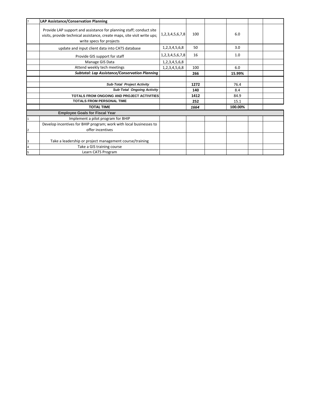| $\mathbf{r}$            | LAP Assistance/Conservation Planning                                                                                                                                        |                     |      |         |  |
|-------------------------|-----------------------------------------------------------------------------------------------------------------------------------------------------------------------------|---------------------|------|---------|--|
|                         | Provide LAP support and assistance for planning staff; conduct site<br>visits, provide technical assistance, create maps, site visit write ups;<br>write specs for projects | 1,2,3,4,5,6,7,8     | 100  | 6.0     |  |
|                         | update and input client data into CATS database                                                                                                                             | 1,2,3,4,5,6,8       | 50   | 3.0     |  |
|                         | Provide GIS support for staff                                                                                                                                               | 1,2,3,4,5,6,7,8     | 16   | 1.0     |  |
|                         | Manage GIS Data                                                                                                                                                             | 1, 2, 3, 4, 5, 6, 8 |      |         |  |
|                         | Attend weekly tech meetings                                                                                                                                                 | 1,2,3,4,5,6,8       | 100  | 6.0     |  |
|                         | <b>Subtotal: Lap Assistance/Conservation Planning</b>                                                                                                                       |                     | 266  | 15.99%  |  |
|                         |                                                                                                                                                                             |                     |      |         |  |
|                         | Sub-Total Project Activity                                                                                                                                                  |                     | 1272 | 76.4    |  |
|                         | <b>Sub-Total Ongoing Activity</b>                                                                                                                                           |                     | 140  | 8.4     |  |
|                         | TOTALS FROM ONGOING AND PROJECT ACTIVITIES                                                                                                                                  |                     | 1412 | 84.9    |  |
|                         | <b>TOTALS FROM PERSONAL TIME</b>                                                                                                                                            |                     | 252  | 15.1    |  |
|                         | <b>TOTAL TIME</b>                                                                                                                                                           |                     | 1664 | 100.00% |  |
|                         | <b>Employee Goals for Fiscal Year</b>                                                                                                                                       |                     |      |         |  |
| 1                       | Implement a pilot program for BHIP                                                                                                                                          |                     |      |         |  |
|                         | Develop incentives for BHIP program; work with local businesses to                                                                                                          |                     |      |         |  |
| $\overline{2}$          | offer incentives                                                                                                                                                            |                     |      |         |  |
| 3                       | Take a leadership or project management course/training                                                                                                                     |                     |      |         |  |
| $\overline{\mathbf{4}}$ | Take a GIS training course                                                                                                                                                  |                     |      |         |  |
| 5                       | Learn CATS Program                                                                                                                                                          |                     |      |         |  |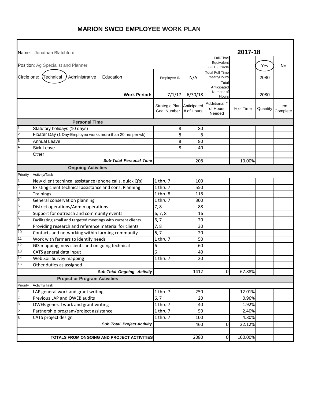|                           | Name: Jonathan Blatchford                                     |                                      |                           |                                       | 2017-18   |          |                  |
|---------------------------|---------------------------------------------------------------|--------------------------------------|---------------------------|---------------------------------------|-----------|----------|------------------|
|                           |                                                               |                                      |                           | Full-Time<br>Equivalent               |           |          |                  |
|                           | Position: Ag Specialist and Planner                           |                                      |                           | (FTE) Circle                          |           | Yes      | No               |
|                           | Circle one: (Technical<br>Administrative<br>Education         | Employee ID                          | N/A                       | <b>Total Full Time</b><br>YearlyHours |           | 2080     |                  |
|                           |                                                               |                                      |                           | Total<br>Anticipated                  |           |          |                  |
|                           | <b>Work Period:</b>                                           | 7/1/17                               | 6/30/18                   | Number of                             |           | 2080     |                  |
|                           |                                                               |                                      |                           | Hours                                 |           |          |                  |
|                           |                                                               | Strategic Plan<br><b>Goal Number</b> | Anticipated<br># of Hours | Addiitional #<br>of Hours<br>Needed   | % of Time | Quantity | Item<br>Complete |
|                           | <b>Personal Time</b>                                          |                                      |                           |                                       |           |          |                  |
| 1                         | Statutory holidays (10 days)                                  | 8                                    | 80                        |                                       |           |          |                  |
| $\overline{2}$            | Floater Day (1 Day-Employee works more than 20 hrs per wk)    | 8                                    | 8                         |                                       |           |          |                  |
| 3                         | <b>Annual Leave</b>                                           | 8                                    | 80                        |                                       |           |          |                  |
| 4                         | <b>Sick Leave</b>                                             | 8                                    | 40                        |                                       |           |          |                  |
|                           | Other                                                         |                                      |                           |                                       |           |          |                  |
|                           | <b>Sub-Total Personal Time</b>                                |                                      | 208                       |                                       | 10.00%    |          |                  |
|                           | <b>Ongoing Activities</b>                                     |                                      |                           |                                       |           |          |                  |
| Priority                  | Activity/Task                                                 |                                      |                           |                                       |           |          |                  |
| 1                         | New client techincal assistance (phone calls, quick Q's)      | 1 thru 7                             | 100                       |                                       |           |          |                  |
| $\overline{2}$            | Existing client technical assistance and cons. Planning       | 1 thru 7                             | 550                       |                                       |           |          |                  |
| 3                         | Trainings                                                     | 1 thru 8                             | 118                       |                                       |           |          |                  |
| 5                         | General conservation planning                                 | 1 thru 7                             | 300                       |                                       |           |          |                  |
| 6                         | District operations/Admin operations                          | 7,8                                  | 88                        |                                       |           |          |                  |
| $\overline{7}$            | Support for outreach and community events                     | 6, 7, 8                              | 16                        |                                       |           |          |                  |
| $\bf8$                    | Facilitating small and targeted meetings with current clients | 6, 7                                 | 20                        |                                       |           |          |                  |
| $\boldsymbol{9}$          | Providing research and reference material for clients         | 7,8                                  | 30                        |                                       |           |          |                  |
| 10                        | Contacts and networking within farming community              | 6, 7                                 | 20                        |                                       |           |          |                  |
| 11                        | Work with farmers to identify needs                           | 1 thru 7                             | 50                        |                                       |           |          |                  |
| 12                        | GIS mapping; new clients and on going technical               | 6                                    | 60                        |                                       |           |          |                  |
| 13                        | CATS general data input                                       | 6                                    | 40                        |                                       |           |          |                  |
| 14                        | Web Soil Survey mapping                                       | 1 thru 7                             | 20                        |                                       |           |          |                  |
| 16                        | Other duties as assigned                                      |                                      |                           |                                       |           |          |                  |
|                           | Sub-Total Ongoing Activity                                    |                                      | 1412                      | 0                                     | 67.88%    |          |                  |
|                           | <b>Project or Program Activities</b>                          |                                      |                           |                                       |           |          |                  |
| Priority                  | Activity/Task                                                 |                                      |                           |                                       |           |          |                  |
| 1                         | LAP general work and grant writing                            | 1 thru 7                             | 250                       |                                       | 12.01%    |          |                  |
| $\overline{c}$            | Previous LAP and OWEB audits                                  | 6, 7                                 | 20                        |                                       | 0.96%     |          |                  |
| $\ensuremath{\mathsf{3}}$ | OWEB general work and grant writing                           | 1 thru 7                             | 40                        |                                       | 1.92%     |          |                  |
| 5                         | Partnership program/project assistance                        | 1 thru 7                             | 50                        |                                       | 2.40%     |          |                  |
| 6                         | CATS project design                                           | $\overline{1}$ thru 7                | 100                       |                                       | 4.80%     |          |                  |
|                           | Sub-Total Project Activity                                    |                                      | 460                       | 0                                     | 22.12%    |          |                  |
|                           |                                                               |                                      |                           |                                       |           |          |                  |
|                           | TOTALS FROM ONGOING AND PROJECT ACTIVITIES                    |                                      | 2080                      | $\overline{0}$                        | 100.00%   |          |                  |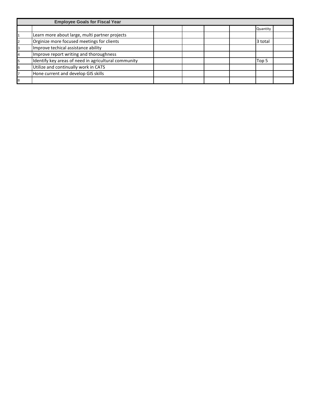|   | <b>Employee Goals for Fiscal Year</b>                |  |  |          |  |
|---|------------------------------------------------------|--|--|----------|--|
|   |                                                      |  |  | Quantity |  |
|   | Learn more about large, multi partner projects       |  |  |          |  |
|   | Orginize more focused meetings for clients           |  |  | 3 total  |  |
| 3 | Improve techical assistance ability                  |  |  |          |  |
|   | Improve report writing and thoroughness              |  |  |          |  |
|   | Identify key areas of need in agricultural community |  |  | Top 5    |  |
| 6 | Utilize and continually work in CATS                 |  |  |          |  |
|   | Hone current and develop GIS skills                  |  |  |          |  |
| 8 |                                                      |  |  |          |  |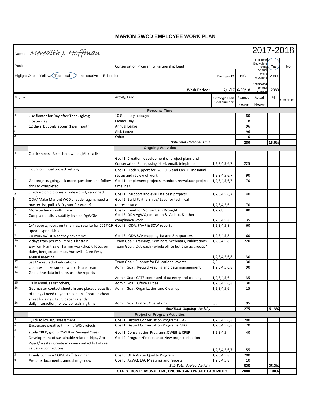|           | Name: Meredith J. Hoffman                                                                                                                         |                                                                       | 2017-2018                     |                |                                           |       |           |
|-----------|---------------------------------------------------------------------------------------------------------------------------------------------------|-----------------------------------------------------------------------|-------------------------------|----------------|-------------------------------------------|-------|-----------|
| Position: |                                                                                                                                                   | Conservation Program & Partnership Lead                               |                               |                | Full-Time<br>Equivalent<br>(FTE)<br>Annua | Yes   | No        |
|           | Higlight One in Yellow: Technical<br>Education<br>Administrative                                                                                  |                                                                       | Employee ID:                  | N/A            | Work<br>Allotmer                          | 2080  |           |
|           |                                                                                                                                                   |                                                                       |                               |                | Anticipated                               |       |           |
|           |                                                                                                                                                   | <b>Work Period:</b>                                                   |                               | 7/1/17 6/30/18 | annua<br>average                          | 2080  |           |
| Priority  |                                                                                                                                                   | Activity/Task                                                         |                               | Planned        | Actual                                    | %     |           |
|           |                                                                                                                                                   |                                                                       | Strategic Plan<br>Goal Number |                |                                           |       | Completed |
|           |                                                                                                                                                   | <b>Personal Time</b>                                                  |                               | Hrs/yr         | Hrs/yr                                    |       |           |
|           | Use floater for Day after Thanksgivng                                                                                                             | 10 Statutory holidays                                                 |                               | 80             |                                           |       |           |
|           | Floater day                                                                                                                                       | <b>Floater Day</b>                                                    |                               | 8              |                                           |       |           |
|           | 12 days, but only accum 1 per month                                                                                                               | Annual Leave                                                          |                               | 96             |                                           |       |           |
|           |                                                                                                                                                   | <b>Sick Leave</b>                                                     |                               | 96             |                                           |       |           |
|           |                                                                                                                                                   | Other                                                                 |                               | 0              |                                           |       |           |
|           |                                                                                                                                                   | <b>Sub-Total Personal Time</b>                                        |                               | 280            |                                           | 13.0% |           |
|           |                                                                                                                                                   | <b>Ongoing Activities</b>                                             |                               |                |                                           |       |           |
|           | Quick sheets: Best sheet weeds, Make a list                                                                                                       |                                                                       |                               |                |                                           |       |           |
|           |                                                                                                                                                   | Goal 1: Creation, development of project plans and                    |                               |                |                                           |       |           |
|           | Hours on initial project vetting                                                                                                                  | Conservation Plans, using f-to-f, email, telephone                    | 1, 2, 3, 4, 5, 6, 7           | 225            |                                           |       |           |
|           |                                                                                                                                                   | Goal 1: Tech support for LAP, SPG and OWEB, inc initial               |                               |                |                                           |       |           |
| 3         |                                                                                                                                                   | set up and review of work.                                            | 1, 2, 3, 4, 5, 6, 7           | 90             |                                           |       |           |
|           | Get projects going, ask more questions and follow<br>thru to completed                                                                            | Goal 1: Implement projects, monitor, reevaluate project<br>timelines. | 1,2,3,4,5,6,7                 | 70             |                                           |       |           |
|           | check up on old ones, divide up list, reconnect,                                                                                                  | Goal 1: Support and evaulate past projects                            | 1, 2, 3, 4, 5, 6, 7           | 40             |                                           |       |           |
|           | ODA/ Make MarionSWCD a leader again, need a                                                                                                       | Goal 2: Build Partnerships/ Lead for technical                        |                               |                |                                           |       |           |
|           | master list, pull a 319 grant for waste?                                                                                                          | representation                                                        | 1,2,3,4,5,6                   | 70             |                                           |       |           |
|           | More techwork with them                                                                                                                           | Goal 2: Lead for No. Santiam Drought                                  | 1, 2, 7, 8                    | 80             |                                           |       |           |
|           | Complaint calls, visability level of AgWQM                                                                                                        | Goal 3: ODA AgWQ education & Abiqua & other                           |                               |                |                                           |       |           |
|           |                                                                                                                                                   | compliance work                                                       | 1, 2, 3, 4, 5, 8              | 35             |                                           |       |           |
| 8         | 1/4 reports, focus on timelines, rewrite for 2017-19<br>update spreadsheet                                                                        | Goal 3: ODA, FAAP & SOW reports                                       | 1,2,3,4,5,8                   | 60             |                                           |       |           |
| 9         | Co work w/ODA as they have time                                                                                                                   | Goal 3: ODA SVA mapping 1st and 8th quarters                          | 1,2,3,4,5,8                   | 60             |                                           |       |           |
| $10$      | 2 days train per mo., more 1 hr train.                                                                                                            | Team Goal: Trainings, Seminars, Webinars, Publications                | 1,2,3,4,5,8                   | 220            |                                           |       |           |
| 11        | Environ, Plant Sale, farmer workshop?, focus on<br>dairy, beef, create map, Aumsville Corn Fest,<br>annual meeting                                | Team Goal: Outreach - whole office but also ag groups?                | 1, 2, 3, 4, 5, 6, 8           | 30             |                                           |       |           |
| 12        | Sat Market, adult education?                                                                                                                      | Team Goal: Support for Educational events                             | 7,8                           | 30             |                                           |       |           |
| 13        | Updates, make sure downloads are clean                                                                                                            | Admin Goal: Record keeping and data management                        | 1,2,3,4,5,6,8                 | 90             |                                           |       |           |
|           | Get all the data in there, use the reports                                                                                                        | Admin Goal: CATS continued data entry and training                    | 1,2,3,4,5,6                   | 35             |                                           |       |           |
| 15        | Daily email, assist others,                                                                                                                       | Admin Goal: Office Duties                                             | 1,2,3,4,5,6,8                 | 30             |                                           |       |           |
| 16        | Get master contact sheets in one place, create list<br>of things I need to get trained on. Create a cheat<br>sheet for a new tech, paper calendar | Admin Goal: Organization and Clean up                                 | 1, 2, 3, 4, 5, 6              | 15             |                                           |       |           |
| 16        | daily interaction, follow up, training time                                                                                                       | <b>Admin Goal: District Operations</b>                                | 6,8                           | 95             |                                           |       |           |
|           |                                                                                                                                                   | Sub-Total Ongoing Activity                                            |                               | 1275           |                                           | 61.3% |           |
|           |                                                                                                                                                   | <b>Project or Program Activities</b>                                  |                               |                |                                           |       |           |
|           | Quick follow up, assessment                                                                                                                       | Goal 1: District Conservation Programs: LAP                           | 1,2,3,4,5,6,8                 | 200            |                                           |       |           |
|           | Encourage creative thinking WQ projects                                                                                                           | Goal 1: District Conservation Programs: SPG                           | 1,2,3,4,5,6,8                 | 20             |                                           |       |           |
|           | study CREP, group OWEB on Senegal Creek                                                                                                           | Goal 1: Conservation Programs: OWEB & CREP                            | 1, 2, 3, 4, 5                 | 40             |                                           |       |           |
|           | Development of sustainable relationships, Grp                                                                                                     | Goal 2: Program/Project Lead New project initiation                   |                               |                |                                           |       |           |
|           | Prject/ waste? Create my own contact list of real,                                                                                                |                                                                       |                               |                |                                           |       |           |
|           | valuable connections                                                                                                                              |                                                                       | 1, 2, 3, 4, 5, 6, 7           | 55             |                                           |       |           |
|           | Timely comm w/ ODA staff, training?                                                                                                               | Goal 3: ODA Water Quality Program                                     | 1, 2, 3, 4, 5, 8              | 200            |                                           |       |           |
|           | Prepare documents, annual mtgs now                                                                                                                | Goal 3: AgWQ: LAC Meetings and reports                                | 1,2,3,4,5,8                   | 10             |                                           |       |           |
|           |                                                                                                                                                   | Sub-Total Project Activity                                            |                               | 525            |                                           | 25.2% |           |
|           |                                                                                                                                                   | TOTALS FROM PERSONAL TIME, ONGOING AND PROJECT ACTIVITIES             |                               | 2080           |                                           | 100%  |           |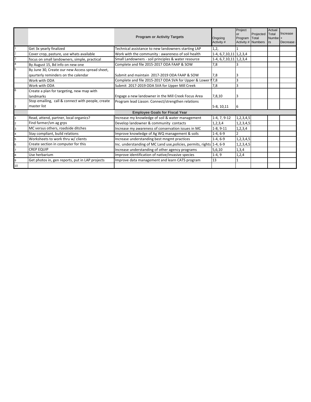|    |                                                   | <b>Program or Activity Targets</b>                                    | Ongoing<br>Activity #        | Project<br><b>or</b><br>Program Total | Projected<br>Activity # Numbers | Actual<br>Total<br>Numbe <sub>1+</sub><br>rs | Increase<br>Decrease |
|----|---------------------------------------------------|-----------------------------------------------------------------------|------------------------------|---------------------------------------|---------------------------------|----------------------------------------------|----------------------|
|    | Get 3x yearly finalized                           | Technical assistance to new landowners starting LAP                   | 1,2,                         |                                       |                                 |                                              |                      |
|    | Cover crop, pasture, use whats available          | Work with the community : awareness of soil health                    | 1-4, 6, 7, 10, 11 1, 2, 3, 4 |                                       |                                 |                                              |                      |
|    | focus on small landowners, simple, practical      | Small Landowners - soil principles & water resource                   | 1-4, 6, 7, 10, 11 1, 2, 3, 4 |                                       |                                 |                                              |                      |
|    | By August 15, Bd info on new one                  | Complete and file 2015-2017 ODA FAAP & SOW                            | 7,8                          |                                       |                                 |                                              |                      |
|    | By June 30, Create our new Access spread sheet,   |                                                                       |                              |                                       |                                 |                                              |                      |
|    | qaurterly reminders on the calendar               | Submit and maintain 2017-2019 ODA FAAP & SOW                          | 7,8                          |                                       |                                 |                                              |                      |
|    | Work with ODA                                     | Complete and file 2015-2017 ODA SVA for Upper & Lower 17,8            |                              |                                       |                                 |                                              |                      |
|    | Work with ODA                                     | Submit 2017-2019 ODA SVA for Upper Mill Creek                         | 7,8                          |                                       |                                 |                                              |                      |
|    | Create a plan for targeting, new map with         |                                                                       |                              |                                       |                                 |                                              |                      |
|    | landmarks                                         | Engage a new landowner in the Mill Creek Focus Area                   | 7,8,10                       |                                       |                                 |                                              |                      |
|    | Stop emailing, call & connect with people, create | Program lead Liason: Connect/strengthen relations                     |                              |                                       |                                 |                                              |                      |
|    | master list                                       |                                                                       | $5-8, 10, 11$                | 6                                     |                                 |                                              |                      |
|    |                                                   | <b>Employee Goals for Fiscal Year</b>                                 |                              |                                       |                                 |                                              |                      |
|    | Read, attend, partner, local organics?            | Increase my knowledge of soil & water management                      | $1-4, 7, 9-12$               | 1,2,3,4,5                             |                                 |                                              |                      |
|    | Find farmer/sm ag grps                            | Develop landowner & community contacts                                | 1, 2, 3, 4                   | 1,2,3,4,5                             |                                 |                                              |                      |
|    | MC versus others, roadside ditches                | Increase my awareness of conservation issues in MC                    | $1-8, 9-11$                  | 1,2,3,4                               |                                 |                                              |                      |
|    | Stay compliant, build relations                   | Improve knowledge of Ag WQ management & soils                         | $1-4, 6-9$                   |                                       |                                 |                                              |                      |
|    | Worksheets to work thru w/ clients                | Increase understanding best mngmt practices                           | $1-4, 6-9$                   | 1, 2, 3, 4, 5                         |                                 |                                              |                      |
|    | Create section in computer for this               | Inc. understanding of MC Land use, policies, permits, rights 1-4, 6-9 |                              | 1,2,3,4,5                             |                                 |                                              |                      |
|    | <b>CREP EQUIP</b>                                 | Increase understanding of other agency programs                       | 5,6,10                       | 1,3,4                                 |                                 |                                              |                      |
|    | Use herbarium                                     | Improve identification of native/invasive species                     | $1-4, 9$                     | 1,2,4                                 |                                 |                                              |                      |
|    | Get photos in, gen reports, put in LAP projects   | Improve data management and learn CATS program                        | 13                           |                                       |                                 |                                              |                      |
| 10 |                                                   |                                                                       |                              |                                       |                                 |                                              |                      |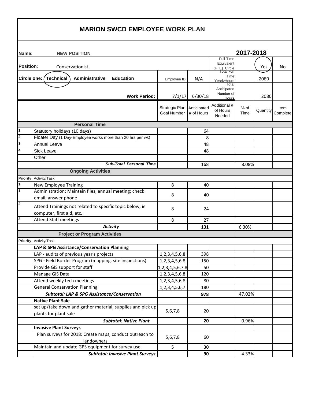| Name:            | <b>NEW POSITION</b>                                                   |                                      |                           |                                   | 2017-2018    |          |                  |
|------------------|-----------------------------------------------------------------------|--------------------------------------|---------------------------|-----------------------------------|--------------|----------|------------------|
|                  |                                                                       |                                      |                           | Full-Time                         |              |          |                  |
| <b>Position:</b> | Conservationist                                                       |                                      |                           | Equivalent<br>(FTE) Circle        |              | Yes      | No               |
|                  | Circle one: (Technical<br>Administrative<br><b>Education</b>          | Employee ID:                         | N/A                       | Total Full<br>Time<br>YearlyHours |              | 2080     |                  |
|                  |                                                                       |                                      |                           | Total                             |              |          |                  |
|                  | <b>Work Period:</b>                                                   | 7/1/17                               | 6/30/18                   | Anticipated<br>Number of<br>Hours |              | 2080     |                  |
|                  |                                                                       |                                      |                           | Additional #                      |              |          |                  |
|                  |                                                                       | Strategic Plan<br><b>Goal Number</b> | Anticipated<br># of Hours | of Hours<br>Needed                | % of<br>Time | Quantity | Item<br>Complete |
|                  | <b>Personal Time</b>                                                  |                                      |                           |                                   |              |          |                  |
| $\mathbf{1}$     | Statutory holidays (10 days)                                          |                                      | 64                        |                                   |              |          |                  |
| 2                | Floater Day (1 Day-Employee works more than 20 hrs per wk)            |                                      | 8                         |                                   |              |          |                  |
| 3                | Annual Leave                                                          |                                      | 48                        |                                   |              |          |                  |
| 4                | <b>Sick Leave</b>                                                     |                                      | 48                        |                                   |              |          |                  |
|                  | Other                                                                 |                                      |                           |                                   |              |          |                  |
|                  | <b>Sub-Total Personal Time</b>                                        |                                      | 168                       |                                   | 8.08%        |          |                  |
|                  | <b>Ongoing Activities</b>                                             |                                      |                           |                                   |              |          |                  |
| <b>Priority</b>  | Activity/Task                                                         |                                      |                           |                                   |              |          |                  |
| 1                | <b>New Employee Training</b>                                          | 8                                    | 40                        |                                   |              |          |                  |
| 1                | Administration: Maintain files, annual meeting; check                 | 8                                    | 40                        |                                   |              |          |                  |
|                  | email; answer phone                                                   |                                      |                           |                                   |              |          |                  |
| $\mathbf{2}$     | Attend Trainings not related to specific topic below; ie              | 8                                    | 24                        |                                   |              |          |                  |
|                  | computer, first aid, etc.                                             |                                      |                           |                                   |              |          |                  |
| 3                | <b>Attend Staff meetings</b>                                          | 8                                    | 27                        |                                   |              |          |                  |
|                  | <b>Activity</b>                                                       |                                      | 131                       |                                   | 6.30%        |          |                  |
|                  | <b>Project or Program Activities</b>                                  |                                      |                           |                                   |              |          |                  |
| <b>Priority</b>  | Activity/Task                                                         |                                      |                           |                                   |              |          |                  |
|                  | LAP & SPG Assistance/Conservation Planning                            |                                      |                           |                                   |              |          |                  |
|                  | LAP - audits of previous year's projects                              | 1, 2, 3, 4, 5, 6, 8                  | 398                       |                                   |              |          |                  |
|                  | SPG - Field Border Program (mapping, site inspections)                | 1, 2, 3, 4, 5, 6, 8                  | 150                       |                                   |              |          |                  |
|                  | Provide GIS support for staff                                         | 1, 2, 3, 4, 5, 6, 7, 8               | 50                        |                                   |              |          |                  |
|                  | Manage GIS Data                                                       | 1, 2, 3, 4, 5, 6, 8                  | 120                       |                                   |              |          |                  |
|                  | Attend weekly tech meetings                                           | 1, 2, 3, 4, 5, 6, 8                  | 80                        |                                   |              |          |                  |
|                  | <b>General Conservation Planning</b>                                  | 1, 2, 3, 4, 5, 6, 7                  | 180                       |                                   |              |          |                  |
|                  | <b>Subtotal: LAP &amp; SPG Assistance/Conservation</b>                |                                      | 978                       |                                   | 47.02%       |          |                  |
|                  | <b>Native Plant Sale</b>                                              |                                      |                           |                                   |              |          |                  |
|                  | set up/take down and gather material, supplies and pick up            | 5,6,7,8                              | 20                        |                                   |              |          |                  |
|                  | plants for plant sale                                                 |                                      |                           |                                   |              |          |                  |
|                  | <b>Subtotal: Native Plant</b>                                         |                                      | 20                        |                                   | 0.96%        |          |                  |
|                  | <b>Invasive Plant Surveys</b>                                         |                                      |                           |                                   |              |          |                  |
|                  | Plan surveys for 2018: Create maps, conduct outreach to<br>landowners | 5,6,7,8                              | 60                        |                                   |              |          |                  |
|                  | Maintain and update GPS equipment for survey use                      | 5                                    | 30                        |                                   |              |          |                  |
|                  | <b>Subtotal: Invasive Plant Surveys</b>                               |                                      | 90                        |                                   | 4.33%        |          |                  |
|                  |                                                                       |                                      |                           |                                   |              |          |                  |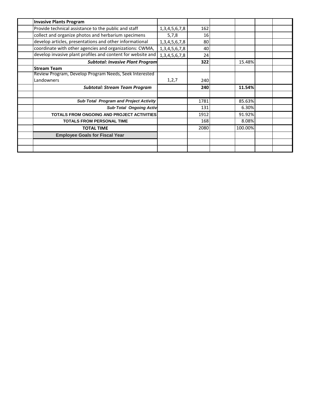| <b>Invasive Plants Program</b>                              |                     |      |         |  |
|-------------------------------------------------------------|---------------------|------|---------|--|
| Provide technical assistance to the public and staff        | 1, 3, 4, 5, 6, 7, 8 | 162  |         |  |
| collect and organize photos and herbarium specimens         | 5,7,8               | 16   |         |  |
| develop articles, presentations and other informational     | 1, 3, 4, 5, 6, 7, 8 | 80   |         |  |
| coordinate with other agencies and organizations: CWMA,     | 1, 3, 4, 5, 6, 7, 8 | 40   |         |  |
| develop invasive plant profiles and content for website and | 1, 3, 4, 5, 6, 7, 8 | 24   |         |  |
| <b>Subtotal: Invasive Plant Program</b>                     |                     | 322  | 15.48%  |  |
| <b>Stream Team</b>                                          |                     |      |         |  |
| Review Program, Develop Program Needs, Seek Interested      |                     |      |         |  |
| Landowners                                                  | 1,2,7               | 240  |         |  |
| <b>Subtotal: Stream Team Program</b>                        |                     | 240  | 11.54%  |  |
|                                                             |                     |      |         |  |
| Sub-Total Program and Project Activity                      |                     | 1781 | 85.63%  |  |
| <b>Sub-Total Ongoing Activ</b>                              |                     | 131  | 6.30%   |  |
| <b>TOTALS FROM ONGOING AND PROJECT ACTIVITIES</b>           |                     | 1912 | 91.92%  |  |
| <b>TOTALS FROM PERSONAL TIME</b>                            |                     | 168  | 8.08%   |  |
| <b>TOTAL TIME</b>                                           |                     | 2080 | 100.00% |  |
| <b>Employee Goals for Fiscal Year</b>                       |                     |      |         |  |
|                                                             |                     |      |         |  |
|                                                             |                     |      |         |  |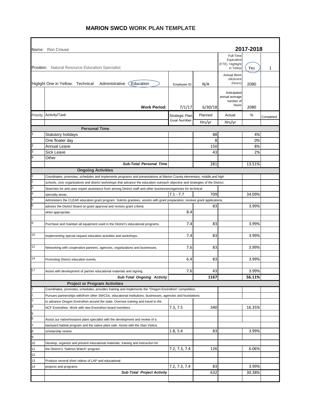## **MARION SWCD WORK PLAN TEMPLATE**

۰

 $\blacksquare$ 

|                | Name: Ron Crouse                                                                                                                  |                    |         |                               | 2017-2018 |           |  |  |  |
|----------------|-----------------------------------------------------------------------------------------------------------------------------------|--------------------|---------|-------------------------------|-----------|-----------|--|--|--|
|                |                                                                                                                                   |                    |         | Full-Time                     |           |           |  |  |  |
|                |                                                                                                                                   |                    |         | Equivalent<br>(FTE) Highlight |           |           |  |  |  |
|                | Position: Natural Resource Education Specialist                                                                                   |                    |         | in Yellow                     | Yes       | 1         |  |  |  |
|                |                                                                                                                                   |                    |         | Annual Work                   |           |           |  |  |  |
|                |                                                                                                                                   |                    |         | Allotment                     |           |           |  |  |  |
|                | Education<br>Higlight One in Yellow: Technical Administrative                                                                     | Employee ID:       | N/A     | (hours)                       | 2080      |           |  |  |  |
|                |                                                                                                                                   |                    |         | Anticipated                   |           |           |  |  |  |
|                |                                                                                                                                   |                    |         | annual average                |           |           |  |  |  |
|                |                                                                                                                                   |                    |         | number of                     |           |           |  |  |  |
|                | <b>Work Period:</b>                                                                                                               | 7/1/17             | 6/30/18 | hours                         | 2080      |           |  |  |  |
|                | Priority Activity/Task                                                                                                            | Strategic Plan     | Planned | Actual                        | %         |           |  |  |  |
|                |                                                                                                                                   | <b>Goal Number</b> |         |                               |           | Completed |  |  |  |
|                | <b>Personal Time</b>                                                                                                              |                    | Hrs/yr  | Hrs/yr                        |           |           |  |  |  |
|                |                                                                                                                                   |                    |         |                               |           |           |  |  |  |
|                | Statutory holidays                                                                                                                |                    | 88      |                               | 4%        |           |  |  |  |
| $\overline{c}$ | One floater day                                                                                                                   |                    | 8       |                               | 0%        |           |  |  |  |
| 3              | Annual Leave                                                                                                                      |                    | 150     |                               | 8%        |           |  |  |  |
|                | Sick Leave                                                                                                                        |                    | 43      |                               | 2%        |           |  |  |  |
| 4              | Other                                                                                                                             |                    |         |                               |           |           |  |  |  |
|                | <b>Sub-Total Personal Time</b>                                                                                                    |                    | 281     |                               | 13.51%    |           |  |  |  |
|                | <b>Ongoing Activities</b>                                                                                                         |                    |         |                               |           |           |  |  |  |
| 1              | Coordinates, promotes, schedules and implements programs and presentations at Marion County elementary, middle and high           |                    |         |                               |           |           |  |  |  |
| 2              | schools, civic organizations and district workshops that advance the education outreach objective and strategies of the District. |                    |         |                               |           |           |  |  |  |
| 3              | Searches for and uses expert assistance from among District staff and other businesses/agencies for technical                     |                    |         |                               |           |           |  |  |  |
| 4              | specialty areas.                                                                                                                  | $7.1 - 7.7$        | 709     |                               | 34.09%    |           |  |  |  |
| 5              | Administers the CLEAR education grant program. Solicits grantees, assists with grant preparation, reviews grant applications,     |                    |         |                               |           |           |  |  |  |
| 6              | advises the District Board on grant approval and revises grant criteria                                                           |                    | 83      |                               | 3.99%     |           |  |  |  |
|                | when appropriate.                                                                                                                 | 8.4                |         |                               |           |           |  |  |  |
|                |                                                                                                                                   |                    |         |                               |           |           |  |  |  |
| $\bf 8$        | Purchase and maintain all equipment used in the District's educational programs.                                                  | 7.4                | 83      |                               | 3.99%     |           |  |  |  |
|                |                                                                                                                                   |                    |         |                               |           |           |  |  |  |
| 10             | Implementing special request education activities and workshops.                                                                  | 7.4                | 83      |                               | 3.99%     |           |  |  |  |
|                |                                                                                                                                   |                    |         |                               |           |           |  |  |  |
| 12             | Networking with cooperative partners, agencies, organizations and businesses.                                                     | 7.6                | 83      |                               | 3.99%     |           |  |  |  |
|                |                                                                                                                                   |                    |         |                               |           |           |  |  |  |
| 14             | Promoting District education events.                                                                                              | 6.4                | 83      |                               | 3.99%     |           |  |  |  |
|                |                                                                                                                                   |                    |         |                               |           |           |  |  |  |
| 17             | Assist with development of partner educational materials and signing.                                                             | 7.6                | 43      |                               | 3.99%     |           |  |  |  |
|                | Sub Total Ongoing Activity                                                                                                        |                    | 1167    |                               | 56.11%    |           |  |  |  |
|                | <b>Project or Program Activities</b>                                                                                              |                    |         |                               |           |           |  |  |  |
|                | Coordinates, promotes, schedules, provides training and implements the "Oregon Envirothon" competition.                           |                    |         |                               |           |           |  |  |  |
| $\overline{c}$ | Pursues partnerships with/from other SWCDs, educational institutions, businesses, agencies and foundations                        |                    |         |                               |           |           |  |  |  |
| 3              | to advance Oregon Envirothon around the state. Oversee training and travel to the                                                 |                    |         |                               |           |           |  |  |  |
| 4              | NCF Envirothon. Work with new Envirothon board members.                                                                           | 7.3, 7.5           | 340     |                               | 16.35%    |           |  |  |  |
| 5              |                                                                                                                                   |                    |         |                               |           |           |  |  |  |
| 6              | Assist our native/invasive plant specialist with the development and review of a                                                  |                    |         |                               |           |           |  |  |  |
| 7              | backyard habitat program and the native plant sale. Assist with the Stan Vistica                                                  |                    |         |                               |           |           |  |  |  |
| 8              | scholarship review.                                                                                                               | 1.8, 5.4           | 83      |                               | 3.99%     |           |  |  |  |
| 9              |                                                                                                                                   |                    |         |                               |           |           |  |  |  |
| 10             | Develop, organize and present educational materials, training and instruction for                                                 |                    |         |                               |           |           |  |  |  |
| 11             | the District's "Salmon Watch" program.                                                                                            | 7.2, 7.3, 7.4      | 126     |                               | 6.06%     |           |  |  |  |
| 12             |                                                                                                                                   |                    |         |                               |           |           |  |  |  |
| 13             | Produce several short videos of LAP and educational                                                                               |                    |         |                               |           |           |  |  |  |
| 14             | projects and programs                                                                                                             | 7.2, 7.3, 7.4      | 83      |                               | 3.99%     |           |  |  |  |
|                | Sub-Total Project Activity                                                                                                        |                    | 632     |                               | 30.38%    |           |  |  |  |
|                |                                                                                                                                   |                    |         |                               |           |           |  |  |  |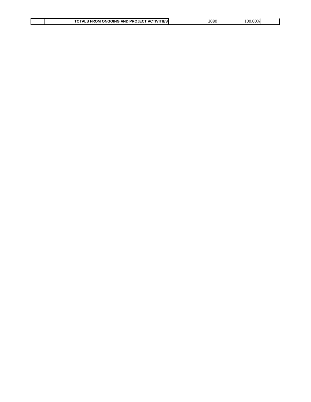| <b>ATIF</b><br><b>ACTIVIT</b><br>ּ∽<br><b>AND</b><br><b>ONGOING</b><br><b>PROJECT</b><br>FROM | 2080<br>___ | .00%<br>LOC |  |
|-----------------------------------------------------------------------------------------------|-------------|-------------|--|

 $\overline{\phantom{a}}$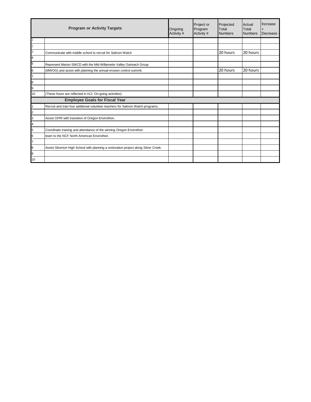|                         | <b>Program or Activity Targets</b>                                                   | Ongoing<br>Activity # | Project or<br>Program<br>Activity # | Projected<br>Total<br><b>Numbers</b> | Actual<br>Total<br><b>Numbers</b> | Increase<br>Decrease |
|-------------------------|--------------------------------------------------------------------------------------|-----------------------|-------------------------------------|--------------------------------------|-----------------------------------|----------------------|
|                         |                                                                                      |                       |                                     |                                      |                                   |                      |
| $\overline{\mathbf{c}}$ |                                                                                      |                       |                                     |                                      |                                   |                      |
| 3                       | Communicate with middle school to recruit for Salmon Watch                           |                       |                                     | 20 hours                             | 20 hours                          |                      |
| 4                       |                                                                                      |                       |                                     |                                      |                                   |                      |
| 5                       | Represent Marion SWCD with the Mid-Willamette Valley Outreach Group                  |                       |                                     |                                      |                                   |                      |
| 6                       | (MWOG) and assist with planning the annual erosion control summit.                   |                       |                                     | 20 hours                             | 20 hours                          |                      |
| $\overline{7}$          |                                                                                      |                       |                                     |                                      |                                   |                      |
| 8                       |                                                                                      |                       |                                     |                                      |                                   |                      |
| 9                       |                                                                                      |                       |                                     |                                      |                                   |                      |
| 10                      | (These hours are reflected in #12, On-going activities)                              |                       |                                     |                                      |                                   |                      |
|                         | <b>Employee Goals for Fiscal Year</b>                                                |                       |                                     |                                      |                                   |                      |
|                         | Recruit and train four additional volunteer teachers for Salmon Watch programs.      |                       |                                     |                                      |                                   |                      |
| 2                       |                                                                                      |                       |                                     |                                      |                                   |                      |
| 3                       | Assist OFRI with transition of Oregon Envirothon.                                    |                       |                                     |                                      |                                   |                      |
| 4                       |                                                                                      |                       |                                     |                                      |                                   |                      |
| 5                       | Coordinate training and attendance of the winning Oregon Envirothon                  |                       |                                     |                                      |                                   |                      |
| 6                       | team to the NCF North American Envirothon.                                           |                       |                                     |                                      |                                   |                      |
| $\overline{7}$          |                                                                                      |                       |                                     |                                      |                                   |                      |
| 8                       | Assist Silverton High School with planning a restoration project along Silver Creek. |                       |                                     |                                      |                                   |                      |
| 9                       |                                                                                      |                       |                                     |                                      |                                   |                      |
| 10                      |                                                                                      |                       |                                     |                                      |                                   |                      |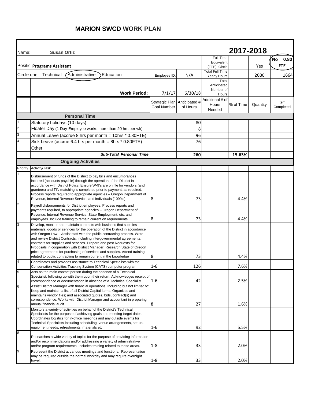# **MARION SWCD WORK PLAN**

| Name:    | <b>Susan Ortiz</b>                                                                                                                                                                                                                                                                                                                                                                                                                                                                                                                                                                                           |                    |                                          |                                               | 2017-2018 |          |                          |
|----------|--------------------------------------------------------------------------------------------------------------------------------------------------------------------------------------------------------------------------------------------------------------------------------------------------------------------------------------------------------------------------------------------------------------------------------------------------------------------------------------------------------------------------------------------------------------------------------------------------------------|--------------------|------------------------------------------|-----------------------------------------------|-----------|----------|--------------------------|
|          | Positic Programs Assistant                                                                                                                                                                                                                                                                                                                                                                                                                                                                                                                                                                                   |                    |                                          | Full-Time<br>Equivalent<br>(FTE) Circle       |           | Yes      | $N$ o 0.80<br><b>FTE</b> |
|          | Administrative<br>Circle one: Technical<br>Education                                                                                                                                                                                                                                                                                                                                                                                                                                                                                                                                                         | Employee ID        | N/A                                      | <b>Total Full Time</b><br><b>Yearly Hours</b> |           | 2080     | 1664                     |
|          | <b>Work Period:</b>                                                                                                                                                                                                                                                                                                                                                                                                                                                                                                                                                                                          | 7/1/17             | 6/30/18                                  | Total<br>Anticipated<br>Number of<br>Hours    |           |          |                          |
|          |                                                                                                                                                                                                                                                                                                                                                                                                                                                                                                                                                                                                              | <b>Goal Number</b> | Strategic Plan Anticipated #<br>of Hours | Additional # of<br>Hours<br>Needed            | % of Time | Quantity | Item<br>Completed        |
|          | <b>Personal Time</b>                                                                                                                                                                                                                                                                                                                                                                                                                                                                                                                                                                                         |                    |                                          |                                               |           |          |                          |
|          | Statutory holidays (10 days)                                                                                                                                                                                                                                                                                                                                                                                                                                                                                                                                                                                 |                    | 80                                       |                                               |           |          |                          |
|          | Floater Day (1 Day-Employee works more than 20 hrs per wk)                                                                                                                                                                                                                                                                                                                                                                                                                                                                                                                                                   |                    | 8                                        |                                               |           |          |                          |
|          | Annual Leave (accrue 8 hrs per month = 10hrs * 0.80FTE)                                                                                                                                                                                                                                                                                                                                                                                                                                                                                                                                                      |                    | 96                                       |                                               |           |          |                          |
|          | Sick Leave (accrue 6.4 hrs per month = 8hrs * 0.80FTE)                                                                                                                                                                                                                                                                                                                                                                                                                                                                                                                                                       |                    | 76                                       |                                               |           |          |                          |
|          | Other                                                                                                                                                                                                                                                                                                                                                                                                                                                                                                                                                                                                        |                    |                                          |                                               |           |          |                          |
|          | <b>Sub-Total Personal Time</b>                                                                                                                                                                                                                                                                                                                                                                                                                                                                                                                                                                               |                    | 260                                      |                                               | 15.63%    |          |                          |
|          | <b>Ongoing Activities</b>                                                                                                                                                                                                                                                                                                                                                                                                                                                                                                                                                                                    |                    |                                          |                                               |           |          |                          |
| Priority | Activity/Task                                                                                                                                                                                                                                                                                                                                                                                                                                                                                                                                                                                                |                    |                                          |                                               |           |          |                          |
|          | Disbursement of funds of the District to pay bills and encumbrances<br>incurred (accounts payable) through the operation of the District in<br>accordance with District Policy. Ensure W-9's are on file for vendors (and<br>grantees) and TIN matching is completed prior to payment, as required.<br>Process reports required to appropriate agencies - Oregon Department of<br>Revenue, Internal Revenue Service, and individuals (1099's).                                                                                                                                                               | 8                  | 73                                       |                                               | 4.4%      |          |                          |
| 2        | Payroll disbursements for District employees. Process reports and<br>payments required, to appropriate agencies - Oregon Department of<br>Revenue, Internal Revenue Service, State Employment, etc. and<br>employees. Include training to remain current on requirements.                                                                                                                                                                                                                                                                                                                                    | 8                  | 73                                       |                                               | 4.4%      |          |                          |
|          | Develop, monitor and maintain contracts with business that supplies<br>materials, goods or services for the operation of the District in accordance<br>with Oregon Law. Assist staff with the public contracting process. Write<br>and review District Contracts, including intergovernmental agreements,<br>contracts for supplies and services. Prepare and post Requests for<br>Proposals in cooperation with District Manager. Research State of Oregon<br>price agreements for purchasing of services and supplies. Attend training<br>related to public contracting to remain current in the knowledge | 8                  | 73                                       |                                               | 4.4%      |          |                          |
|          | Coordinates and provides assistance to Technical Specialists with the<br>Conservation Activities Tracking System (CATS) computer program.                                                                                                                                                                                                                                                                                                                                                                                                                                                                    | $1 - 6$            | 126                                      |                                               | 7.6%      |          |                          |
| 5        | Acts as the main contact person during the absence of a Technical<br>Specialist, following up with them upon their return. Acknowledges receipt of<br>correspondence or documentation in absence of a Technical Specialist.                                                                                                                                                                                                                                                                                                                                                                                  | $1 - 6$            | 42                                       |                                               | 2.5%      |          |                          |
|          | Assist District Manager with financial operations. Including but not limited to:<br>Keep and maintain a list of all District Capital Items. Organizes and<br>maintains vendor files; and associated quotes, bids, contract(s) and<br>correspondence. Works with District Manager and accountant in preparing<br>annual financial audit.                                                                                                                                                                                                                                                                      | 8                  | 27                                       |                                               | 1.6%      |          |                          |
|          | Monitors a variety of activities on behalf of the District's Technical<br>Specialists for the purpose of achieving goals and meeting target dates.<br>Coordinates logistics for in-office meetings and any outside events for<br>Technical Specialists including scheduling, venue arrangements, set-up,<br>equipment needs, refreshments, materials etc.                                                                                                                                                                                                                                                    | $1 - 6$            | 92                                       |                                               | 5.5%      |          |                          |
| 8        | Researches a wide variety of topics for the purpose of providing information<br>and/or recommendations and/or addressing a variety of administrative<br>and/or program requirements. Includes training related to these areas.                                                                                                                                                                                                                                                                                                                                                                               | $1 - 8$            | 33                                       |                                               | 2.0%      |          |                          |
| 9        | Represent the District at various meetings and functions. Representation<br>may be required outside the normal workday and may require overnight<br>travel.                                                                                                                                                                                                                                                                                                                                                                                                                                                  | $1 - 8$            | 33                                       |                                               | 2.0%      |          |                          |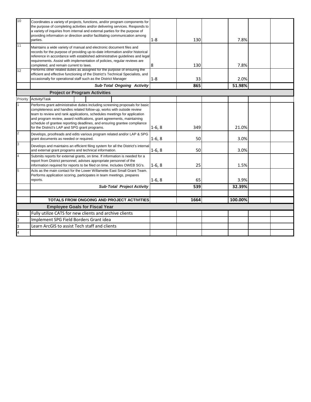| 10             | Coordinates a variety of projects, functions, and/or program components for<br>the purpose of completing activities and/or delivering services. Responds to<br>a variety of inquiries from internal and external parties for the purpose of<br>providing information or direction and/or facilitating communication among<br>parties.                                                                                                     |  |                                      |                                            | $1 - 8$  | 130  | 7.8%    |  |
|----------------|-------------------------------------------------------------------------------------------------------------------------------------------------------------------------------------------------------------------------------------------------------------------------------------------------------------------------------------------------------------------------------------------------------------------------------------------|--|--------------------------------------|--------------------------------------------|----------|------|---------|--|
| 11             | Maintains a wide variety of manual and electronic document files and<br>records for the purpose of providing up-to-date information and/or historical<br>reference in accordance with established administrative guidelines and legal<br>requirements. Assist with implementation of policies, reqular reviews are<br>completed, and remain current to laws.                                                                              |  |                                      |                                            | 8        | 130  | 7.8%    |  |
| 12             | Performs other related duties as assigned for the purpose of ensuring the<br>efficient and effective functioning of the District's Technical Specialists, and<br>occasionally for operational staff such as the District Manager                                                                                                                                                                                                          |  |                                      |                                            | $1 - 8$  | 33   | 2.0%    |  |
|                |                                                                                                                                                                                                                                                                                                                                                                                                                                           |  |                                      | Sub-Total Ongoing Activity                 |          | 865  | 51.98%  |  |
|                |                                                                                                                                                                                                                                                                                                                                                                                                                                           |  | <b>Project or Program Activities</b> |                                            |          |      |         |  |
| Priority       | Activity/Task                                                                                                                                                                                                                                                                                                                                                                                                                             |  |                                      |                                            |          |      |         |  |
|                | Performs grant administrative duties including screening proposals for basic<br>completeness and handles related follow-up, works with outside review<br>team to review and rank applications, schedules meetings for application<br>and program review, award notifications, grant agreements, maintaining<br>schedule of grantee reporting deadlines, and ensuring grantee compliance<br>for the District's LAP and SPG grant programs. |  |                                      |                                            |          | 349  | 21.0%   |  |
| $\overline{2}$ | Develops, proofreads and edits various program related and/or LAP & SPG<br>grant documents as needed or required.                                                                                                                                                                                                                                                                                                                         |  |                                      |                                            | $1-6, 8$ | 50   | 3.0%    |  |
| 3              | Develops and maintains an efficient filing system for all the District's internal<br>and external grant programs and technical information.                                                                                                                                                                                                                                                                                               |  |                                      |                                            | $1-6, 8$ | 50   | 3.0%    |  |
| $\overline{4}$ | Submits reports for external grants, on time. If information is needed for a<br>report from District personnel, advises appropriate personnel of the<br>information required for reports to be filed on time. Includes OWEB SG's.                                                                                                                                                                                                         |  |                                      |                                            |          | 25   | 1.5%    |  |
| 5              | Acts as the main contact for the Lower Willamette East Small Grant Team.<br>Performs application scoring, participates in team meetings, prepares<br>reports.                                                                                                                                                                                                                                                                             |  |                                      |                                            | $1-6, 8$ | 65   | 3.9%    |  |
|                | <b>Sub-Total Project Activity</b>                                                                                                                                                                                                                                                                                                                                                                                                         |  |                                      |                                            |          | 539  | 32.39%  |  |
|                |                                                                                                                                                                                                                                                                                                                                                                                                                                           |  |                                      |                                            |          |      |         |  |
|                |                                                                                                                                                                                                                                                                                                                                                                                                                                           |  |                                      | TOTALS FROM ONGOING AND PROJECT ACTIVITIES |          | 1664 | 100.00% |  |
|                | <b>Employee Goals for Fiscal Year</b>                                                                                                                                                                                                                                                                                                                                                                                                     |  |                                      |                                            |          |      |         |  |
|                | Fully utilize CATS for new clients and archive clients                                                                                                                                                                                                                                                                                                                                                                                    |  |                                      |                                            |          |      |         |  |
| $\overline{2}$ | Implement SPG Field Borders Grant idea                                                                                                                                                                                                                                                                                                                                                                                                    |  |                                      |                                            |          |      |         |  |
| 3              | Learn ArcGIS to assist Tech staff and clients                                                                                                                                                                                                                                                                                                                                                                                             |  |                                      |                                            |          |      |         |  |
| 4              |                                                                                                                                                                                                                                                                                                                                                                                                                                           |  |                                      |                                            |          |      |         |  |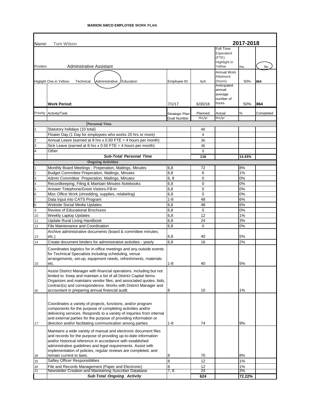| Name:          | Tom Wilson                                                                                                                            |                |             |                                                            | 2017-2018 |           |
|----------------|---------------------------------------------------------------------------------------------------------------------------------------|----------------|-------------|------------------------------------------------------------|-----------|-----------|
| Position       | Adminstrative Assistant                                                                                                               |                |             | Full-Time<br>Equivalent<br>(FTE)<br>Highlight in<br>Yellow |           | No        |
|                |                                                                                                                                       |                |             | Annual Work                                                | Yes       |           |
|                |                                                                                                                                       |                |             | Allotment                                                  |           |           |
|                | Education<br>Higlight One in Yellow:<br>Technical<br>Administrative                                                                   | Employee ID:   | N/A         | (hours)                                                    | 50%       | 864       |
|                |                                                                                                                                       |                |             | Anticipated<br>annual                                      |           |           |
|                |                                                                                                                                       |                |             | average                                                    |           |           |
|                |                                                                                                                                       |                |             | number of                                                  |           |           |
|                | <b>Work Period:</b>                                                                                                                   | 7/1/17         | 6/30/18     | hours                                                      | 50%       | 864       |
|                | Priority Activity/Task                                                                                                                | Strategic Plan | Planned     | Actual                                                     | %         | Completed |
|                |                                                                                                                                       | Goal Number    | Hrs/yr      | Hrs/yr                                                     |           |           |
|                | <b>Personal Time</b>                                                                                                                  |                |             |                                                            |           |           |
| $\mathbf{1}$   | Statutory holidays (10 total)                                                                                                         |                | 40          |                                                            |           |           |
|                | Floater Day (1 Day for employees who works 20 hrs or more)                                                                            |                | 4           |                                                            |           |           |
| $\overline{2}$ | Annual Leave (earned at 8 hrs x $0.50$ FTE = 4 hours per month)                                                                       |                | 36          |                                                            |           |           |
| 3              | Sick Leave (earned at 8 hrs x 0.50 FTE = 4 hours per month)                                                                           |                | 36          |                                                            |           |           |
| $\overline{4}$ | Other<br><b>Sub-Total Personal Time</b>                                                                                               |                | $\mathbf 0$ |                                                            |           |           |
|                | <b>Ongoing Activities</b>                                                                                                             |                | 116         |                                                            | 13.43%    |           |
|                | Monthly Board Meetings: Preperation, Mailings, Minutes                                                                                | 6,8            | 72          |                                                            | 8%        |           |
| $\overline{2}$ | <b>Budget Committee Preperation, Mailings, Minutes</b>                                                                                | 6,8            | 6           |                                                            | 1%        |           |
| 3              | Admin Committee Preperation, Mailings, Minutes                                                                                        | 6, 8           | 0           |                                                            | 0%        |           |
| 4              | Recordkeeping, Filing & Maintain Minutes Notebooks                                                                                    | 6,8            | 0           |                                                            | 0%        |           |
| 5              | Answer Telephone/Greet Visitors-Fill-in                                                                                               | 6,8            | 0           |                                                            | 0%        |           |
| 6              | Misc Office Work (shredding, supplies, relabeling)                                                                                    | 6,8            | $\mathbf 0$ |                                                            | 0%        |           |
| 7              | Data Input into CATS Program                                                                                                          | $1 - 8$        | 48          |                                                            | 6%        |           |
| 8              | <b>Website Social Media Updates</b>                                                                                                   | 6,8            | 48          |                                                            | 6%        |           |
| 9              | <b>Review of Educational Brochures</b>                                                                                                | 6,8            | 0           |                                                            | 0%        |           |
| 10             | <b>Weekly Laptop Updates</b>                                                                                                          | 6,8            | 12          |                                                            | 1%        |           |
| 11<br>12       | <b>Update Rural Living Handbook</b><br><b>File Maintenance and Coordination</b>                                                       | 6,8<br>6,8     | 24<br>0     |                                                            | 3%<br>0%  |           |
|                | Archive administrative documents (board & committee minutes,                                                                          |                |             |                                                            |           |           |
| 13             | etc.                                                                                                                                  | 6.8            | 40          |                                                            | 5%        |           |
| 14             | Create document binders for administrative activities - yearly                                                                        | 6,8            | 16          |                                                            | 2%        |           |
|                | Coordinates logistics for in-office meetings and any outside events                                                                   |                |             |                                                            |           |           |
|                | for Technical Specialists including scheduling, venue                                                                                 |                |             |                                                            |           |           |
|                | arrangements, set-up, equipment needs, refreshments, materials                                                                        |                |             |                                                            |           |           |
| 15             | etc.                                                                                                                                  | 1-8            | 40          |                                                            | 5%        |           |
|                | Assist District Manager with financial operations. Including but not                                                                  |                |             |                                                            |           |           |
|                | limited to: Keep and maintain a list of all District Capital Items.                                                                   |                |             |                                                            |           |           |
|                | Organizes and maintains vendor files; and associated quotes, bids,<br>contract(s) and correspondence. Works with District Manager and |                |             |                                                            |           |           |
| 16             | accountant in preparing annual financial audit.                                                                                       | 8              | 10          |                                                            | 1%        |           |
|                |                                                                                                                                       |                |             |                                                            |           |           |
|                |                                                                                                                                       |                |             |                                                            |           |           |
|                | Coordinates a variety of projects, functions, and/or program<br>components for the purpose of completing activities and/or            |                |             |                                                            |           |           |
|                | delivering services. Responds to a variety of inquiries from internal                                                                 |                |             |                                                            |           |           |
|                | and external parties for the purpose of providing information or                                                                      |                |             |                                                            |           |           |
| 17             | direction and/or facilitating communication among parties.                                                                            | 1-8            | 74          |                                                            | 9%        |           |
|                | Maintains a wide variety of manual and electronic document files                                                                      |                |             |                                                            |           |           |
|                | and records for the purpose of providing up-to-date information                                                                       |                |             |                                                            |           |           |
|                | and/or historical reference in accordance with established                                                                            |                |             |                                                            |           |           |
|                | administrative guidelines and legal requirements. Assist with                                                                         |                |             |                                                            |           |           |
| 18             | implementation of policies, regular reviews are completed, and<br>remain current to laws.                                             | 8              | 70          |                                                            | 8%        |           |
| 19             | Saftey Officer Responsiblities                                                                                                        | 8              | 12          |                                                            | 1%        |           |
| 20             | File and Records Management (Paper and Electronic)                                                                                    | 8              | 12          |                                                            | 1%        |           |
| 21             | Newsletter Creation and Maintaining Suscriber Database                                                                                | 7, 8           | 24          |                                                            | 3%        |           |
|                | Sub-Total Ongoing Activity                                                                                                            |                | 624         |                                                            | 72.22%    |           |